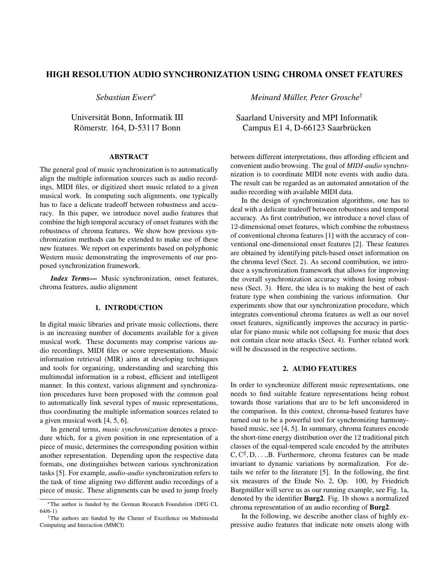# **HIGH RESOLUTION AUDIO SYNCHRONIZATION USING CHROMA ONSET FEATURES**

*Sebastian Ewert*<sup>∗</sup>

Universitat Bonn, Informatik III ¨ Römerstr. 164, D-53117 Bonn

## **ABSTRACT**

The general goal of music synchronization is to automatically align the multiple information sources such as audio recordings, MIDI files, or digitized sheet music related to a given musical work. In computing such alignments, one typically has to face a delicate tradeoff between robustness and accuracy. In this paper, we introduce novel audio features that combine the high temporal accuracy of onset features with the robustness of chroma features. We show how previous synchronization methods can be extended to make use of these new features. We report on experiments based on polyphonic Western music demonstrating the improvements of our proposed synchronization framework.

*Index Terms***—** Music synchronization, onset features, chroma features, audio alignment

### **1. INTRODUCTION**

In digital music libraries and private music collections, there is an increasing number of documents available for a given musical work. These documents may comprise various audio recordings, MIDI files or score representations. Music information retrieval (MIR) aims at developing techniques and tools for organizing, understanding and searching this multimodal information in a robust, efficient and intelligent manner. In this context, various alignment and synchronization procedures have been proposed with the common goal to automatically link several types of music representations, thus coordinating the multiple information sources related to a given musical work [4, 5, 6].

In general terms, *music synchronization* denotes a procedure which, for a given position in one representation of a piece of music, determines the corresponding position within another representation. Depending upon the respective data formats, one distinguishes between various synchronization tasks [5]. For example, *audio-audio* synchronization refers to the task of time aligning two different audio recordings of a piece of music. These alignments can be used to jump freely *Meinard Muller, Peter Grosche ¨* †

Saarland University and MPI Informatik Campus E1 4, D-66123 Saarbrücken

between different interpretations, thus affording efficient and convenient audio browsing. The goal of *MIDI-audio* synchronization is to coordinate MIDI note events with audio data. The result can be regarded as an automated annotation of the audio recording with available MIDI data.

In the design of synchronization algorithms, one has to deal with a delicate tradeoff between robustness and temporal accuracy. As first contribution, we introduce a novel class of 12-dimensional onset features, which combine the robustness of conventional chroma features [1] with the accuracy of conventional one-dimensional onset features [2]. These features are obtained by identifying pitch-based onset information on the chroma level (Sect. 2). As second contribution, we introduce a synchronization framework that allows for improving the overall synchronization accuracy without losing robustness (Sect. 3). Here, the idea is to making the best of each feature type when combining the various information. Our experiments show that our synchronization procedure, which integrates conventional chroma features as well as our novel onset features, significantly improves the accuracy in particular for piano music while not collapsing for music that does not contain clear note attacks (Sect. 4). Further related work will be discussed in the respective sections.

### **2. AUDIO FEATURES**

In order to synchronize different music representations, one needs to find suitable feature representations being robust towards those variations that are to be left unconsidered in the comparison. In this context, chroma-based features have turned out to be a powerful tool for synchronizing harmonybased music, see [4, 5]. In summary, chroma features encode the short-time energy distribution over the 12 traditional pitch classes of the equal-tempered scale encoded by the attributes  $C, C^{\sharp}, D, \ldots, B$ . Furthermore, chroma features can be made invariant to dynamic variations by normalization. For details we refer to the literature [5]. In the following, the first six measures of the Etude No. 2, Op. 100, by Friedrich Burgmüller will serve us as our running example, see Fig. 1a, denoted by the identifier **Burg2**. Fig. 1b shows a normalized chroma representation of an audio recording of **Burg2**.

In the following, we describe another class of highly expressive audio features that indicate note onsets along with

<sup>∗</sup>The author is funded by the German Research Foundation (DFG CL 64/6-1)

<sup>†</sup>The authors are funded by the Cluster of Excellence on Multimodal Computing and Interaction (MMCI)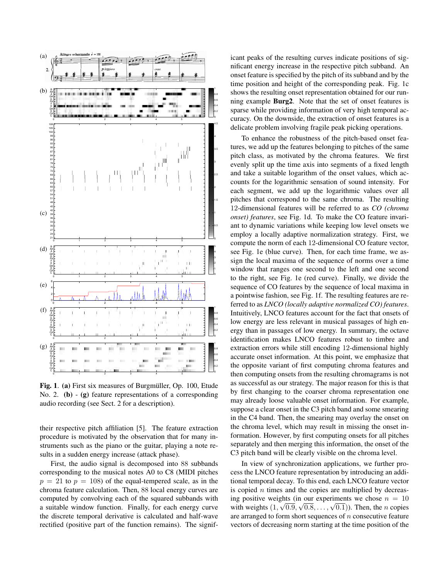

**Fig. 1.** (a) First six measures of Burgmüller, Op. 100, Etude No. 2. **(b)** - **(g)** feature representations of a corresponding audio recording (see Sect. 2 for a description).

their respective pitch affiliation [5]. The feature extraction procedure is motivated by the observation that for many instruments such as the piano or the guitar, playing a note results in a sudden energy increase (attack phase).

First, the audio signal is decomposed into 88 subbands corresponding to the musical notes A0 to C8 (MIDI pitches  $p = 21$  to  $p = 108$ ) of the equal-tempered scale, as in the chroma feature calculation. Then, 88 local energy curves are computed by convolving each of the squared subbands with a suitable window function. Finally, for each energy curve the discrete temporal derivative is calculated and half-wave rectified (positive part of the function remains). The significant peaks of the resulting curves indicate positions of significant energy increase in the respective pitch subband. An onset feature is specified by the pitch of its subband and by the time position and height of the corresponding peak. Fig. 1c shows the resulting onset representation obtained for our running example **Burg2**. Note that the set of onset features is sparse while providing information of very high temporal accuracy. On the downside, the extraction of onset features is a delicate problem involving fragile peak picking operations.

To enhance the robustness of the pitch-based onset features, we add up the features belonging to pitches of the same pitch class, as motivated by the chroma features. We first evenly split up the time axis into segments of a fixed length and take a suitable logarithm of the onset values, which accounts for the logarithmic sensation of sound intensity. For each segment, we add up the logarithmic values over all pitches that correspond to the same chroma. The resulting 12-dimensional features will be referred to as *CO (chroma onset) features*, see Fig. 1d. To make the CO feature invariant to dynamic variations while keeping low level onsets we employ a locally adaptive normalization strategy. First, we compute the norm of each 12-dimensional CO feature vector, see Fig. 1e (blue curve). Then, for each time frame, we assign the local maxima of the sequence of norms over a time window that ranges one second to the left and one second to the right, see Fig. 1e (red curve). Finally, we divide the sequence of CO features by the sequence of local maxima in a pointwise fashion, see Fig. 1f. The resulting features are referred to as *LNCO (locally adaptive normalized CO) features*. Intuitively, LNCO features account for the fact that onsets of low energy are less relevant in musical passages of high energy than in passages of low energy. In summary, the octave identification makes LNCO features robust to timbre and extraction errors while still encoding 12-dimensional highly accurate onset information. At this point, we emphasize that the opposite variant of first computing chroma features and then computing onsets from the resulting chromagrams is not as successful as our strategy. The major reason for this is that by first changing to the coarser chroma representation one may already loose valuable onset information. For example, suppose a clear onset in the C3 pitch band and some smearing in the C4 band. Then, the smearing may overlay the onset on the chroma level, which may result in missing the onset information. However, by first computing onsets for all pitches separately and then merging this information, the onset of the C3 pitch band will be clearly visible on the chroma level.

In view of synchronization applications, we further process the LNCO feature representation by introducing an additional temporal decay. To this end, each LNCO feature vector is copied  $n$  times and the copies are multiplied by decreasing positive weights (in our experiments we chose  $n = 10$ with weights  $(1, \sqrt{0.9}, \sqrt{0.8}, \dots, \sqrt{0.1})$ ). Then, the *n* copies are arranged to form short sequences of  $n$  consecutive feature vectors of decreasing norm starting at the time position of the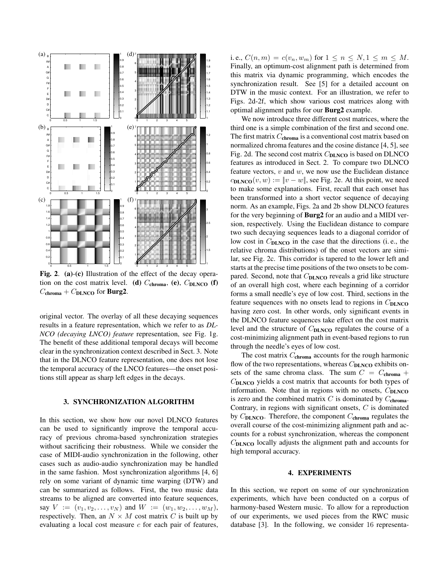

**Fig. 2**. **(a)**-**(c)** Illustration of the effect of the decay operation on the cost matrix level. **(d)**  $C_{\text{chroma}}$ , **(e)**,  $C_{\text{DLNCO}}$  **(f)**  $C_{\text{chroma}} + C_{\text{DLNCO}}$  for **Burg2**.

original vector. The overlay of all these decaying sequences results in a feature representation, which we refer to as *DL-NCO (decaying LNCO) feature* representation, see Fig. 1g. The benefit of these additional temporal decays will become clear in the synchronization context described in Sect. 3. Note that in the DLNCO feature representation, one does not lose the temporal accuracy of the LNCO features—the onset positions still appear as sharp left edges in the decays.

## **3. SYNCHRONIZATION ALGORITHM**

In this section, we show how our novel DLNCO features can be used to significantly improve the temporal accuracy of previous chroma-based synchronization strategies without sacrificing their robustness. While we consider the case of MIDI-audio synchronization in the following, other cases such as audio-audio synchronization may be handled in the same fashion. Most synchronization algorithms [4, 6] rely on some variant of dynamic time warping (DTW) and can be summarized as follows. First, the two music data streams to be aligned are converted into feature sequences, say  $V := (v_1, v_2, \ldots, v_N)$  and  $W := (w_1, w_2, \ldots, w_M)$ , respectively. Then, an  $N \times M$  cost matrix C is built up by evaluating a local cost measure  $c$  for each pair of features,

i.e.,  $C(n, m) = c(v_n, w_m)$  for  $1 \le n \le N, 1 \le m \le M$ . Finally, an optimum-cost alignment path is determined from this matrix via dynamic programming, which encodes the synchronization result. See [5] for a detailed account on DTW in the music context. For an illustration, we refer to Figs. 2d-2f, which show various cost matrices along with optimal alignment paths for our **Burg2** example.

We now introduce three different cost matrices, where the third one is a simple combination of the first and second one. The first matrix C**chroma** is a conventional cost matrix based on normalized chroma features and the cosine distance [4, 5], see Fig. 2d. The second cost matrix  $C_{\text{DLNCO}}$  is based on DLNCO features as introduced in Sect. 2. To compare two DLNCO feature vectors,  $v$  and  $w$ , we now use the Euclidean distance  $c_{\text{DLNCO}}(v, w) := ||v - w||$ , see Fig. 2e. At this point, we need to make some explanations. First, recall that each onset has been transformed into a short vector sequence of decaying norm. As an example, Figs. 2a and 2b show DLNCO features for the very beginning of **Burg2** for an audio and a MIDI version, respectively. Using the Euclidean distance to compare two such decaying sequences leads to a diagonal corridor of low cost in C<sub>DLNCO</sub> in the case that the directions (i.e., the relative chroma distributions) of the onset vectors are similar, see Fig. 2c. This corridor is tapered to the lower left and starts at the precise time positions of the two onsets to be compared. Second, note that C<sub>DLNCO</sub> reveals a grid like structure of an overall high cost, where each beginning of a corridor forms a small needle's eye of low cost. Third, sections in the feature sequences with no onsets lead to regions in  $C_{\text{DLNCO}}$ having zero cost. In other words, only significant events in the DLNCO feature sequences take effect on the cost matrix level and the structure of C<sub>DLNCO</sub> regulates the course of a cost-minimizing alignment path in event-based regions to run through the needle's eyes of low cost.

The cost matrix C**chroma** accounts for the rough harmonic flow of the two representations, whereas  $C_{\text{DLNCO}}$  exhibits onsets of the same chroma class. The sum  $C = C_{\text{chroma}} + C$ C**DLNCO** yields a cost matrix that accounts for both types of information. Note that in regions with no onsets, C<sub>DLNCO</sub> is zero and the combined matrix  $C$  is dominated by  $C_{\text{chroma}}$ . Contrary, in regions with significant onsets,  $C$  is dominated by C**DLNCO**. Therefore, the component C**chroma** regulates the overall course of the cost-minimizing alignment path and accounts for a robust synchronization, whereas the component C**DLNCO** locally adjusts the alignment path and accounts for high temporal accuracy.

### **4. EXPERIMENTS**

In this section, we report on some of our synchronization experiments, which have been conducted on a corpus of harmony-based Western music. To allow for a reproduction of our experiments, we used pieces from the RWC music database [3]. In the following, we consider 16 representa-